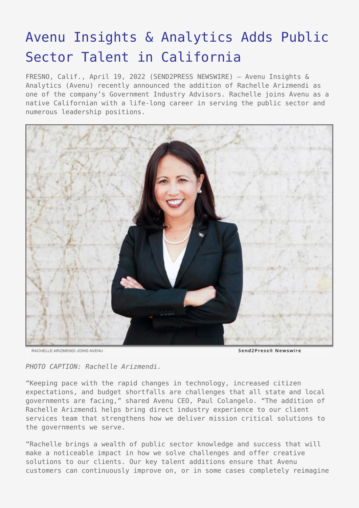## [Avenu Insights & Analytics Adds Public](https://www.send2press.com/wire/avenu-insights-analytics-adds-public-sector-talent-in-california/) [Sector Talent in California](https://www.send2press.com/wire/avenu-insights-analytics-adds-public-sector-talent-in-california/)

FRESNO, Calif., April 19, 2022 (SEND2PRESS NEWSWIRE) — Avenu Insights & Analytics (Avenu) recently announced the addition of Rachelle Arizmendi as one of the company's Government Industry Advisors. Rachelle joins Avenu as a native Californian with a life-long career in serving the public sector and numerous leadership positions.



RACHELLE ARIZMENDI JOINS AVENU

Send2Press® Newswire

*PHOTO CAPTION: Rachelle Arizmendi.*

"Keeping pace with the rapid changes in technology, increased citizen expectations, and budget shortfalls are challenges that all state and local governments are facing," shared Avenu CEO, Paul Colangelo. "The addition of Rachelle Arizmendi helps bring direct industry experience to our client services team that strengthens how we deliver mission critical solutions to the governments we serve.

"Rachelle brings a wealth of public sector knowledge and success that will make a noticeable impact in how we solve challenges and offer creative solutions to our clients. Our key talent additions ensure that Avenu customers can continuously improve on, or in some cases completely reimagine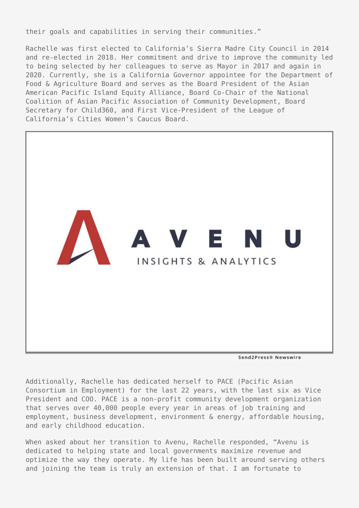their goals and capabilities in serving their communities."

Rachelle was first elected to California's Sierra Madre City Council in 2014 and re-elected in 2018. Her commitment and drive to improve the community led to being selected by her colleagues to serve as Mayor in 2017 and again in 2020. Currently, she is a California Governor appointee for the Department of Food & Agriculture Board and serves as the Board President of the Asian American Pacific Island Equity Alliance, Board Co-Chair of the National Coalition of Asian Pacific Association of Community Development, Board Secretary for Child360, and First Vice-President of the League of California's Cities Women's Caucus Board.



Send2Press® Newswire

Additionally, Rachelle has dedicated herself to PACE (Pacific Asian Consortium in Employment) for the last 22 years, with the last six as Vice President and COO. PACE is a non-profit community development organization that serves over 40,000 people every year in areas of job training and employment, business development, environment & energy, affordable housing, and early childhood education.

When asked about her transition to Avenu, Rachelle responded, "Avenu is dedicated to helping state and local governments maximize revenue and optimize the way they operate. My life has been built around serving others and joining the team is truly an extension of that. I am fortunate to